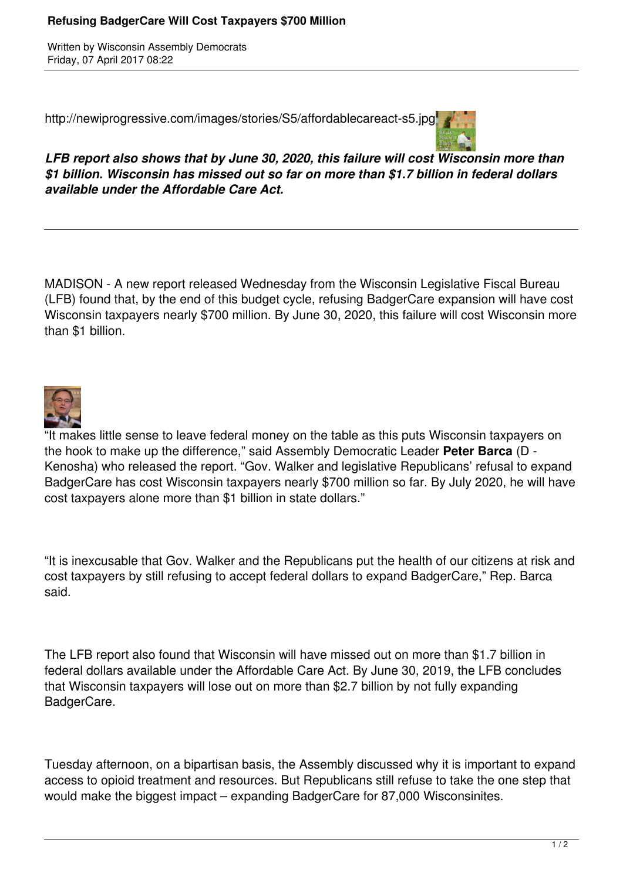## **Refusing BadgerCare Will Cost Taxpayers \$700 Million**

Written by Wisconsin Assembly Democrats Friday, 07 April 2017 08:22

http://newiprogressive.com/images/stories/S5/affordablecareact-s5.jpg



*LFB report also shows that by June 30, 2020, this failure will cost Wisconsin more than \$1 billion. Wisconsin has missed out so far on more than \$1.7 billion in federal dollars available under the Affordable Care Act.*

MADISON - A new report released Wednesday from the Wisconsin Legislative Fiscal Bureau (LFB) found that, by the end of this budget cycle, refusing BadgerCare expansion will have cost Wisconsin taxpayers nearly \$700 million. By June 30, 2020, this failure will cost Wisconsin more than \$1 billion.



"It makes little sense to leave federal money on the table as this puts Wisconsin taxpayers on the hook to make up the difference," said Assembly Democratic Leader **Peter Barca** (D - Kenosha) who released the report. "Gov. Walker and legislative Republicans' refusal to expand BadgerCare has cost Wisconsin taxpayers nearly \$700 million so far. By July 2020, he will have cost taxpayers alone more than \$1 billion in state dollars."

"It is inexcusable that Gov. Walker and the Republicans put the health of our citizens at risk and cost taxpayers by still refusing to accept federal dollars to expand BadgerCare," Rep. Barca said.

The LFB report also found that Wisconsin will have missed out on more than \$1.7 billion in federal dollars available under the Affordable Care Act. By June 30, 2019, the LFB concludes that Wisconsin taxpayers will lose out on more than \$2.7 billion by not fully expanding BadgerCare.

Tuesday afternoon, on a bipartisan basis, the Assembly discussed why it is important to expand access to opioid treatment and resources. But Republicans still refuse to take the one step that would make the biggest impact – expanding BadgerCare for 87,000 Wisconsinites.